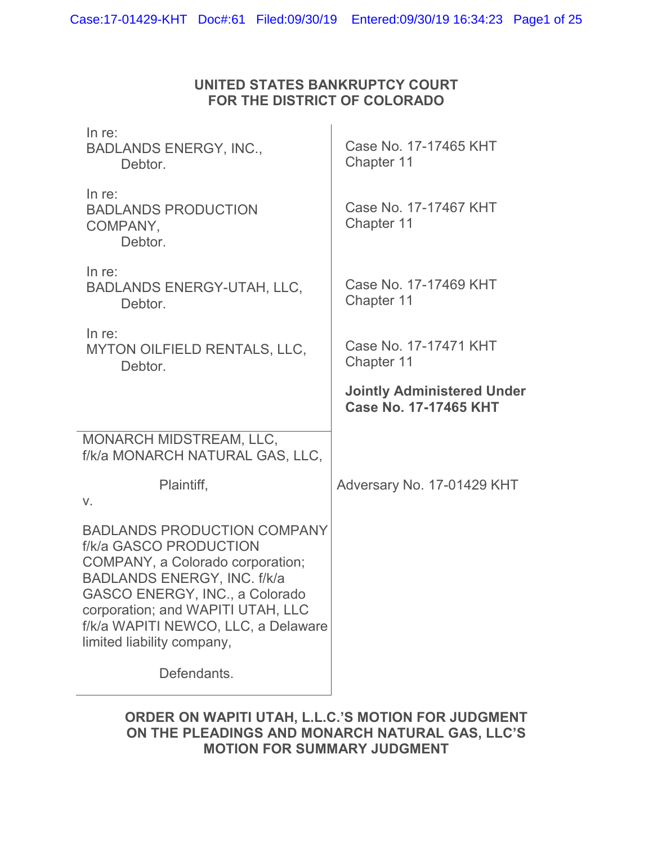## **UNITED STATES BANKRUPTCY COURT FOR THE DISTRICT OF COLORADO**

| In $re$ :<br><b>BADLANDS ENERGY, INC.,</b><br>Debtor.                                                                                                                                                                                                                              | Case No. 17-17465 KHT<br>Chapter 11                        |
|------------------------------------------------------------------------------------------------------------------------------------------------------------------------------------------------------------------------------------------------------------------------------------|------------------------------------------------------------|
| In $re$ :<br><b>BADLANDS PRODUCTION</b><br>COMPANY,<br>Debtor.                                                                                                                                                                                                                     | Case No. 17-17467 KHT<br>Chapter 11                        |
| In $re$ :<br><b>BADLANDS ENERGY-UTAH, LLC,</b><br>Debtor.                                                                                                                                                                                                                          | Case No. 17-17469 KHT<br>Chapter 11                        |
| In $re$ :<br>MYTON OILFIELD RENTALS, LLC,<br>Debtor.                                                                                                                                                                                                                               | Case No. 17-17471 KHT<br>Chapter 11                        |
|                                                                                                                                                                                                                                                                                    | <b>Jointly Administered Under</b><br>Case No. 17-17465 KHT |
| MONARCH MIDSTREAM, LLC,<br>f/k/a MONARCH NATURAL GAS, LLC,                                                                                                                                                                                                                         |                                                            |
| Plaintiff,<br>V.                                                                                                                                                                                                                                                                   | Adversary No. 17-01429 KHT                                 |
| <b>BADLANDS PRODUCTION COMPANY</b><br>f/k/a GASCO PRODUCTION<br>COMPANY, a Colorado corporation;<br><b>BADLANDS ENERGY, INC. f/k/a</b><br>GASCO ENERGY, INC., a Colorado<br>corporation; and WAPITI UTAH, LLC<br>f/k/a WAPITI NEWCO, LLC, a Delaware<br>limited liability company, |                                                            |
| Defendants.                                                                                                                                                                                                                                                                        |                                                            |

### **ORDER ON WAPITI UTAH, L.L.C.'S MOTION FOR JUDGMENT ON THE PLEADINGS AND MONARCH NATURAL GAS, LLC'S MOTION FOR SUMMARY JUDGMENT**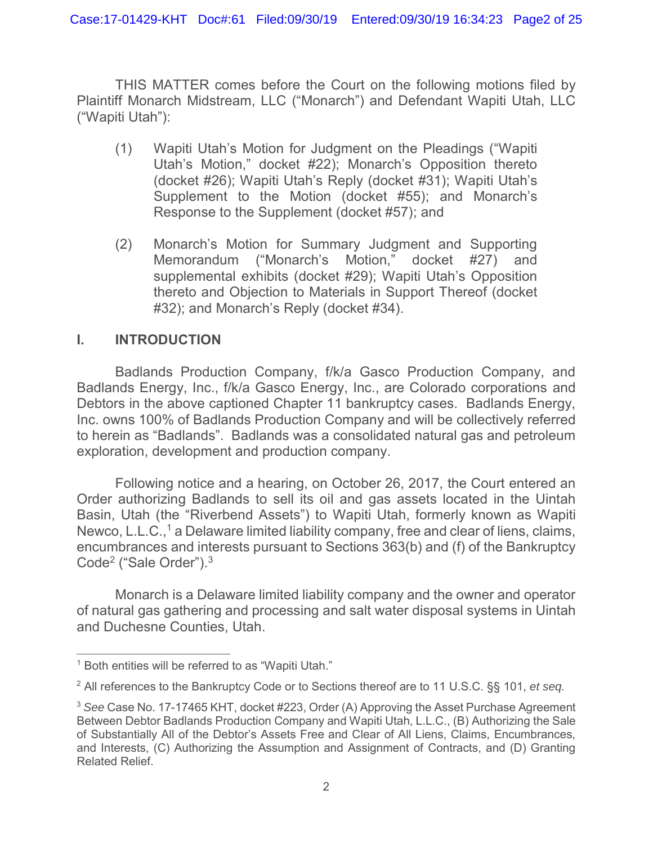THIS MATTER comes before the Court on the following motions filed by Plaintiff Monarch Midstream, LLC ("Monarch") and Defendant Wapiti Utah, LLC ("Wapiti Utah"):

- (1) Wapiti Utah's Motion for Judgment on the Pleadings ("Wapiti Utah's Motion," docket #22); Monarch's Opposition thereto (docket #26); Wapiti Utah's Reply (docket #31); Wapiti Utah's Supplement to the Motion (docket #55); and Monarch's Response to the Supplement (docket #57); and
- (2) Monarch's Motion for Summary Judgment and Supporting Memorandum ("Monarch's Motion," docket #27) and supplemental exhibits (docket #29); Wapiti Utah's Opposition thereto and Objection to Materials in Support Thereof (docket #32); and Monarch's Reply (docket #34).

## **I. INTRODUCTION**

Badlands Production Company, f/k/a Gasco Production Company, and Badlands Energy, Inc., f/k/a Gasco Energy, Inc., are Colorado corporations and Debtors in the above captioned Chapter 11 bankruptcy cases. Badlands Energy, Inc. owns 100% of Badlands Production Company and will be collectively referred to herein as "Badlands". Badlands was a consolidated natural gas and petroleum exploration, development and production company.

Following notice and a hearing, on October 26, 2017, the Court entered an Order authorizing Badlands to sell its oil and gas assets located in the Uintah Basin, Utah (the "Riverbend Assets") to Wapiti Utah, formerly known as Wapiti Newco, L.L.C.,<sup>1</sup> a Delaware limited liability company, free and clear of liens, claims, encumbrances and interests pursuant to Sections 363(b) and (f) of the Bankruptcy Code<sup>2</sup> ("Sale Order").<sup>3</sup>

Monarch is a Delaware limited liability company and the owner and operator of natural gas gathering and processing and salt water disposal systems in Uintah and Duchesne Counties, Utah.

<sup>&</sup>lt;sup>1</sup> Both entities will be referred to as "Wapiti Utah."

<sup>2</sup> All references to the Bankruptcy Code or to Sections thereof are to 11 U.S.C. §§ 101, *et seq.*

<sup>3</sup> *See* Case No. 17-17465 KHT, docket #223, Order (A) Approving the Asset Purchase Agreement Between Debtor Badlands Production Company and Wapiti Utah, L.L.C., (B) Authorizing the Sale of Substantially All of the Debtor's Assets Free and Clear of All Liens, Claims, Encumbrances, and Interests, (C) Authorizing the Assumption and Assignment of Contracts, and (D) Granting Related Relief.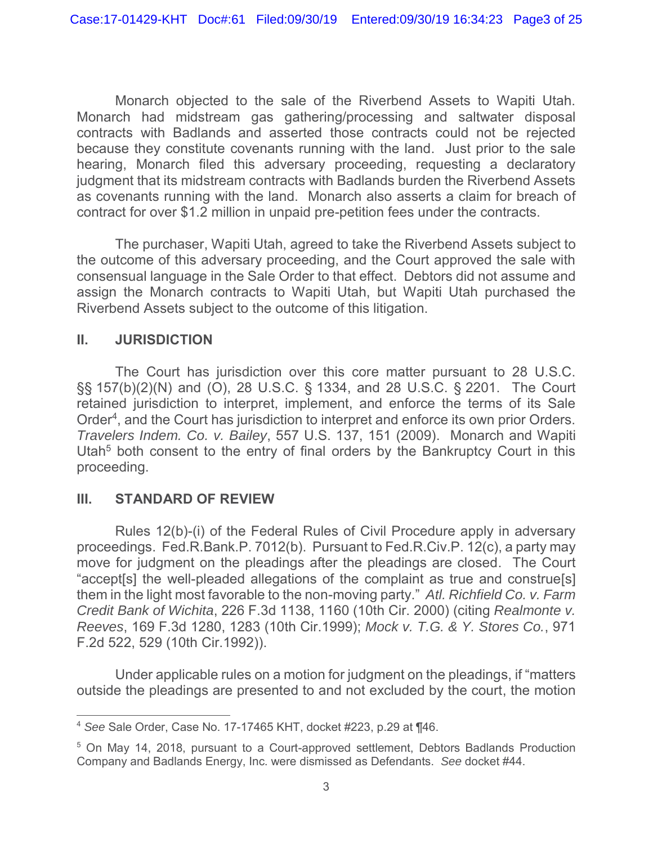Monarch objected to the sale of the Riverbend Assets to Wapiti Utah. Monarch had midstream gas gathering/processing and saltwater disposal contracts with Badlands and asserted those contracts could not be rejected because they constitute covenants running with the land. Just prior to the sale hearing, Monarch filed this adversary proceeding, requesting a declaratory judgment that its midstream contracts with Badlands burden the Riverbend Assets as covenants running with the land. Monarch also asserts a claim for breach of contract for over \$1.2 million in unpaid pre-petition fees under the contracts.

The purchaser, Wapiti Utah, agreed to take the Riverbend Assets subject to the outcome of this adversary proceeding, and the Court approved the sale with consensual language in the Sale Order to that effect. Debtors did not assume and assign the Monarch contracts to Wapiti Utah, but Wapiti Utah purchased the Riverbend Assets subject to the outcome of this litigation.

### **II. JURISDICTION**

The Court has jurisdiction over this core matter pursuant to 28 U.S.C. §§ 157(b)(2)(N) and (O), 28 U.S.C. § 1334, and 28 U.S.C. § 2201. The Court retained jurisdiction to interpret, implement, and enforce the terms of its Sale Order<sup>4</sup>, and the Court has jurisdiction to interpret and enforce its own prior Orders. *Travelers Indem. Co. v. Bailey*, 557 U.S. 137, 151 (2009). Monarch and Wapiti Utah<sup>5</sup> both consent to the entry of final orders by the Bankruptcy Court in this proceeding.

### **III. STANDARD OF REVIEW**

Rules 12(b)-(i) of the Federal Rules of Civil Procedure apply in adversary proceedings. Fed.R.Bank.P. 7012(b). Pursuant to Fed.R.Civ.P. 12(c), a party may move for judgment on the pleadings after the pleadings are closed. The Court "accept[s] the well-pleaded allegations of the complaint as true and construe[s] them in the light most favorable to the non-moving party." *Atl. Richfield Co. v. Farm Credit Bank of Wichita*, 226 F.3d 1138, 1160 (10th Cir. 2000) (citing *Realmonte v. Reeves*, 169 F.3d 1280, 1283 (10th Cir.1999); *Mock v. T.G. & Y. Stores Co.*, 971 F.2d 522, 529 (10th Cir.1992)).

Under applicable rules on a motion for judgment on the pleadings, if "matters outside the pleadings are presented to and not excluded by the court, the motion

<sup>4</sup> *See* Sale Order, Case No. 17-17465 KHT, docket #223, p.29 at ¶46.

<sup>5</sup> On May 14, 2018, pursuant to a Court-approved settlement, Debtors Badlands Production Company and Badlands Energy, Inc. were dismissed as Defendants. *See* docket #44.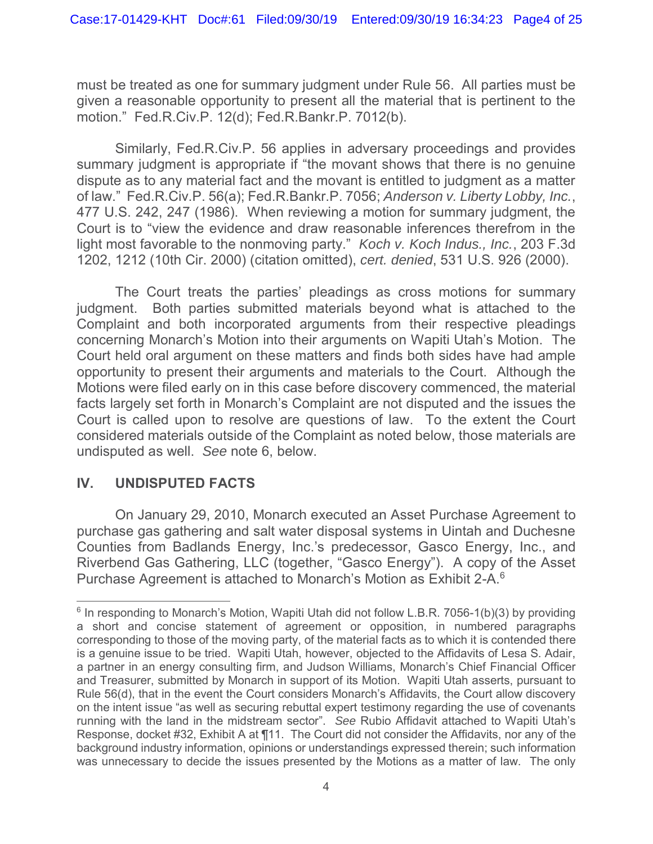must be treated as one for summary judgment under Rule 56. All parties must be given a reasonable opportunity to present all the material that is pertinent to the motion." Fed.R.Civ.P. 12(d); Fed.R.Bankr.P. 7012(b).

Similarly, Fed.R.Civ.P. 56 applies in adversary proceedings and provides summary judgment is appropriate if "the movant shows that there is no genuine dispute as to any material fact and the movant is entitled to judgment as a matter of law." Fed.R.Civ.P. 56(a); Fed.R.Bankr.P. 7056; *Anderson v. Liberty Lobby, Inc.*, 477 U.S. 242, 247 (1986). When reviewing a motion for summary judgment, the Court is to "view the evidence and draw reasonable inferences therefrom in the light most favorable to the nonmoving party." *Koch v. Koch Indus., Inc.*, 203 F.3d 1202, 1212 (10th Cir. 2000) (citation omitted), *cert. denied*, 531 U.S. 926 (2000).

The Court treats the parties' pleadings as cross motions for summary judgment. Both parties submitted materials beyond what is attached to the Complaint and both incorporated arguments from their respective pleadings concerning Monarch's Motion into their arguments on Wapiti Utah's Motion. The Court held oral argument on these matters and finds both sides have had ample opportunity to present their arguments and materials to the Court. Although the Motions were filed early on in this case before discovery commenced, the material facts largely set forth in Monarch's Complaint are not disputed and the issues the Court is called upon to resolve are questions of law. To the extent the Court considered materials outside of the Complaint as noted below, those materials are undisputed as well. *See* note 6, below.

## **IV. UNDISPUTED FACTS**

On January 29, 2010, Monarch executed an Asset Purchase Agreement to purchase gas gathering and salt water disposal systems in Uintah and Duchesne Counties from Badlands Energy, Inc.'s predecessor, Gasco Energy, Inc., and Riverbend Gas Gathering, LLC (together, "Gasco Energy"). A copy of the Asset Purchase Agreement is attached to Monarch's Motion as Exhibit 2-A.6

 $6$  In responding to Monarch's Motion, Wapiti Utah did not follow L.B.R. 7056-1(b)(3) by providing a short and concise statement of agreement or opposition, in numbered paragraphs corresponding to those of the moving party, of the material facts as to which it is contended there is a genuine issue to be tried. Wapiti Utah, however, objected to the Affidavits of Lesa S. Adair, a partner in an energy consulting firm, and Judson Williams, Monarch's Chief Financial Officer and Treasurer, submitted by Monarch in support of its Motion. Wapiti Utah asserts, pursuant to Rule 56(d), that in the event the Court considers Monarch's Affidavits, the Court allow discovery on the intent issue "as well as securing rebuttal expert testimony regarding the use of covenants running with the land in the midstream sector". *See* Rubio Affidavit attached to Wapiti Utah's Response, docket #32, Exhibit A at ¶11. The Court did not consider the Affidavits, nor any of the background industry information, opinions or understandings expressed therein; such information was unnecessary to decide the issues presented by the Motions as a matter of law. The only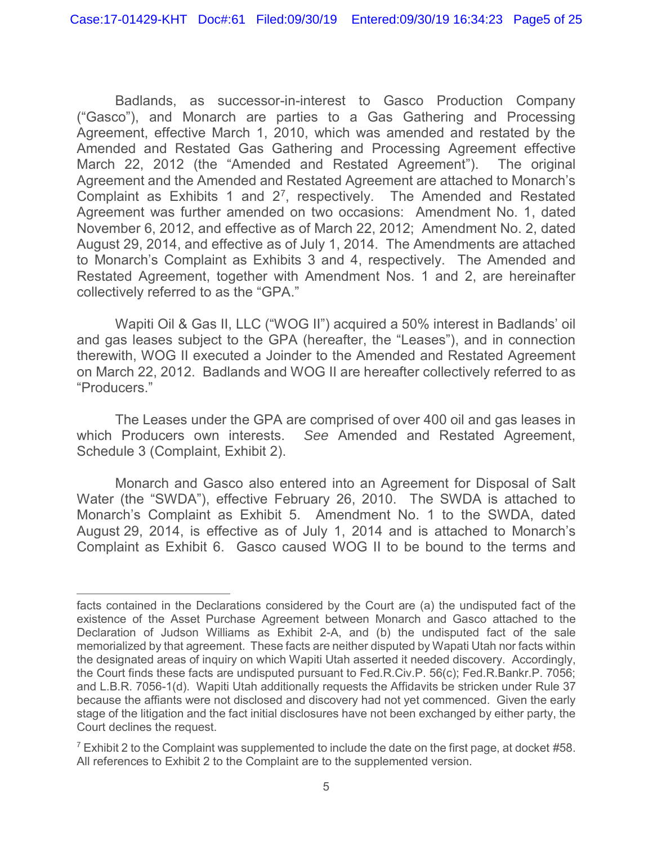Badlands, as successor-in-interest to Gasco Production Company ("Gasco"), and Monarch are parties to a Gas Gathering and Processing Agreement, effective March 1, 2010, which was amended and restated by the Amended and Restated Gas Gathering and Processing Agreement effective March 22, 2012 (the "Amended and Restated Agreement"). The original Agreement and the Amended and Restated Agreement are attached to Monarch's Complaint as Exhibits 1 and 27, respectively. The Amended and Restated Agreement was further amended on two occasions: Amendment No. 1, dated November 6, 2012, and effective as of March 22, 2012; Amendment No. 2, dated August 29, 2014, and effective as of July 1, 2014. The Amendments are attached to Monarch's Complaint as Exhibits 3 and 4, respectively. The Amended and Restated Agreement, together with Amendment Nos. 1 and 2, are hereinafter collectively referred to as the "GPA."

Wapiti Oil & Gas II, LLC ("WOG II") acquired a 50% interest in Badlands' oil and gas leases subject to the GPA (hereafter, the "Leases"), and in connection therewith, WOG II executed a Joinder to the Amended and Restated Agreement on March 22, 2012. Badlands and WOG II are hereafter collectively referred to as "Producers."

The Leases under the GPA are comprised of over 400 oil and gas leases in which Producers own interests. *See* Amended and Restated Agreement, Schedule 3 (Complaint, Exhibit 2).

Monarch and Gasco also entered into an Agreement for Disposal of Salt Water (the "SWDA"), effective February 26, 2010. The SWDA is attached to Monarch's Complaint as Exhibit 5. Amendment No. 1 to the SWDA, dated August 29, 2014, is effective as of July 1, 2014 and is attached to Monarch's Complaint as Exhibit 6. Gasco caused WOG II to be bound to the terms and

facts contained in the Declarations considered by the Court are (a) the undisputed fact of the existence of the Asset Purchase Agreement between Monarch and Gasco attached to the Declaration of Judson Williams as Exhibit 2-A, and (b) the undisputed fact of the sale memorialized by that agreement. These facts are neither disputed by Wapati Utah nor facts within the designated areas of inquiry on which Wapiti Utah asserted it needed discovery. Accordingly, the Court finds these facts are undisputed pursuant to Fed.R.Civ.P. 56(c); Fed.R.Bankr.P. 7056; and L.B.R. 7056-1(d). Wapiti Utah additionally requests the Affidavits be stricken under Rule 37 because the affiants were not disclosed and discovery had not yet commenced. Given the early stage of the litigation and the fact initial disclosures have not been exchanged by either party, the Court declines the request.

 $^7$  Exhibit 2 to the Complaint was supplemented to include the date on the first page, at docket #58. All references to Exhibit 2 to the Complaint are to the supplemented version.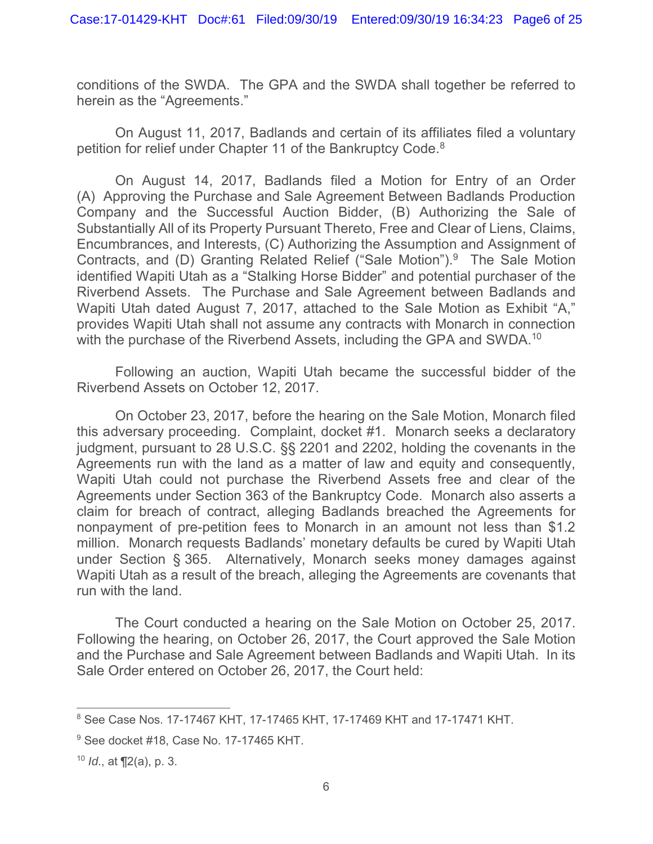conditions of the SWDA. The GPA and the SWDA shall together be referred to herein as the "Agreements."

On August 11, 2017, Badlands and certain of its affiliates filed a voluntary petition for relief under Chapter 11 of the Bankruptcy Code.<sup>8</sup>

On August 14, 2017, Badlands filed a Motion for Entry of an Order (A) Approving the Purchase and Sale Agreement Between Badlands Production Company and the Successful Auction Bidder, (B) Authorizing the Sale of Substantially All of its Property Pursuant Thereto, Free and Clear of Liens, Claims, Encumbrances, and Interests, (C) Authorizing the Assumption and Assignment of Contracts, and (D) Granting Related Relief ("Sale Motion").9 The Sale Motion identified Wapiti Utah as a "Stalking Horse Bidder" and potential purchaser of the Riverbend Assets. The Purchase and Sale Agreement between Badlands and Wapiti Utah dated August 7, 2017, attached to the Sale Motion as Exhibit "A," provides Wapiti Utah shall not assume any contracts with Monarch in connection with the purchase of the Riverbend Assets, including the GPA and SWDA.<sup>10</sup>

Following an auction, Wapiti Utah became the successful bidder of the Riverbend Assets on October 12, 2017.

On October 23, 2017, before the hearing on the Sale Motion, Monarch filed this adversary proceeding. Complaint, docket #1. Monarch seeks a declaratory judgment, pursuant to 28 U.S.C. §§ 2201 and 2202, holding the covenants in the Agreements run with the land as a matter of law and equity and consequently, Wapiti Utah could not purchase the Riverbend Assets free and clear of the Agreements under Section 363 of the Bankruptcy Code. Monarch also asserts a claim for breach of contract, alleging Badlands breached the Agreements for nonpayment of pre-petition fees to Monarch in an amount not less than \$1.2 million. Monarch requests Badlands' monetary defaults be cured by Wapiti Utah under Section § 365. Alternatively, Monarch seeks money damages against Wapiti Utah as a result of the breach, alleging the Agreements are covenants that run with the land.

The Court conducted a hearing on the Sale Motion on October 25, 2017. Following the hearing, on October 26, 2017, the Court approved the Sale Motion and the Purchase and Sale Agreement between Badlands and Wapiti Utah. In its Sale Order entered on October 26, 2017, the Court held:

<sup>8</sup> See Case Nos. 17-17467 KHT, 17-17465 KHT, 17-17469 KHT and 17-17471 KHT.

<sup>&</sup>lt;sup>9</sup> See docket #18, Case No. 17-17465 KHT.

<sup>10</sup> *Id*., at ¶2(a), p. 3.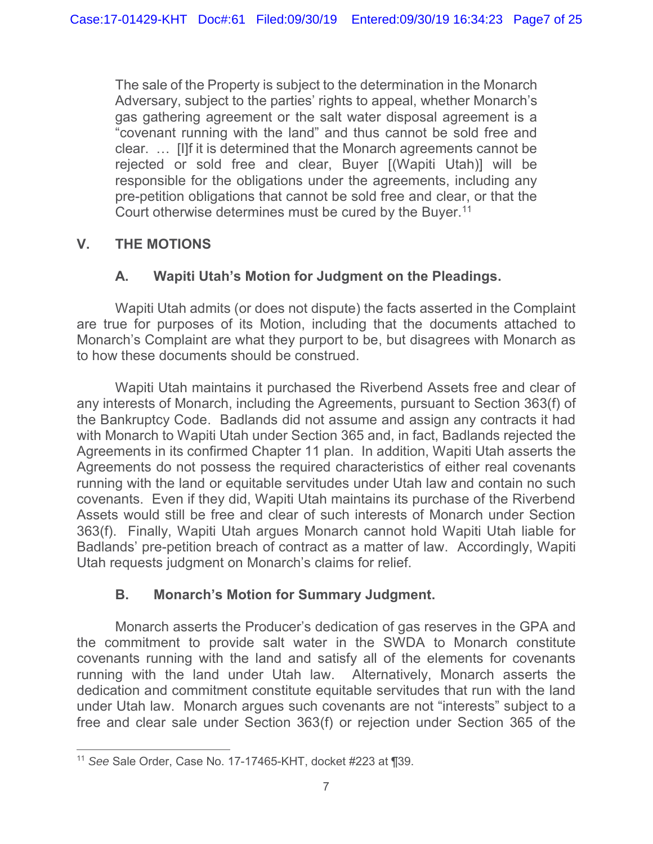The sale of the Property is subject to the determination in the Monarch Adversary, subject to the parties' rights to appeal, whether Monarch's gas gathering agreement or the salt water disposal agreement is a "covenant running with the land" and thus cannot be sold free and clear. … [I]f it is determined that the Monarch agreements cannot be rejected or sold free and clear, Buyer [(Wapiti Utah)] will be responsible for the obligations under the agreements, including any pre-petition obligations that cannot be sold free and clear, or that the Court otherwise determines must be cured by the Buyer.<sup>11</sup>

# **V. THE MOTIONS**

# **A. Wapiti Utah's Motion for Judgment on the Pleadings.**

Wapiti Utah admits (or does not dispute) the facts asserted in the Complaint are true for purposes of its Motion, including that the documents attached to Monarch's Complaint are what they purport to be, but disagrees with Monarch as to how these documents should be construed.

Wapiti Utah maintains it purchased the Riverbend Assets free and clear of any interests of Monarch, including the Agreements, pursuant to Section 363(f) of the Bankruptcy Code. Badlands did not assume and assign any contracts it had with Monarch to Wapiti Utah under Section 365 and, in fact, Badlands rejected the Agreements in its confirmed Chapter 11 plan. In addition, Wapiti Utah asserts the Agreements do not possess the required characteristics of either real covenants running with the land or equitable servitudes under Utah law and contain no such covenants. Even if they did, Wapiti Utah maintains its purchase of the Riverbend Assets would still be free and clear of such interests of Monarch under Section 363(f). Finally, Wapiti Utah argues Monarch cannot hold Wapiti Utah liable for Badlands' pre-petition breach of contract as a matter of law. Accordingly, Wapiti Utah requests judgment on Monarch's claims for relief.

## **B. Monarch's Motion for Summary Judgment.**

Monarch asserts the Producer's dedication of gas reserves in the GPA and the commitment to provide salt water in the SWDA to Monarch constitute covenants running with the land and satisfy all of the elements for covenants running with the land under Utah law. Alternatively, Monarch asserts the dedication and commitment constitute equitable servitudes that run with the land under Utah law. Monarch argues such covenants are not "interests" subject to a free and clear sale under Section 363(f) or rejection under Section 365 of the

<sup>11</sup> *See* Sale Order, Case No. 17-17465-KHT, docket #223 at ¶39.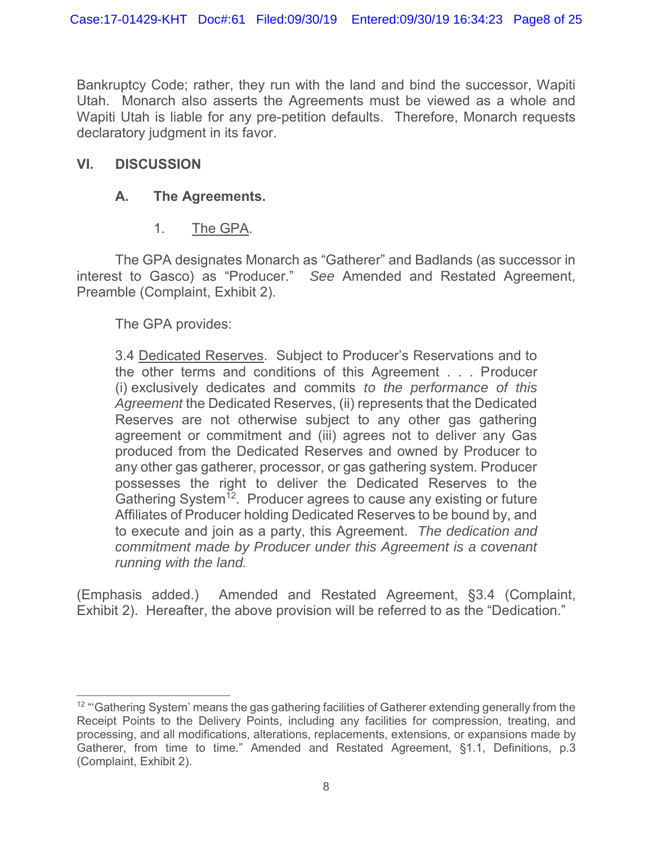Bankruptcy Code; rather, they run with the land and bind the successor, Wapiti Utah. Monarch also asserts the Agreements must be viewed as a whole and Wapiti Utah is liable for any pre-petition defaults. Therefore, Monarch requests declaratory judgment in its favor.

## **VI. DISCUSSION**

# **A. The Agreements.**

1. The GPA.

The GPA designates Monarch as "Gatherer" and Badlands (as successor in interest to Gasco) as "Producer." *See* Amended and Restated Agreement, Preamble (Complaint, Exhibit 2).

The GPA provides:

3.4 Dedicated Reserves. Subject to Producer's Reservations and to the other terms and conditions of this Agreement . . . Producer (i) exclusively dedicates and commits *to the performance of this Agreement* the Dedicated Reserves, (ii) represents that the Dedicated Reserves are not otherwise subject to any other gas gathering agreement or commitment and (iii) agrees not to deliver any Gas produced from the Dedicated Reserves and owned by Producer to any other gas gatherer, processor, or gas gathering system. Producer possesses the right to deliver the Dedicated Reserves to the Gathering System<sup>12</sup>. Producer agrees to cause any existing or future Affiliates of Producer holding Dedicated Reserves to be bound by, and to execute and join as a party, this Agreement. *The dedication and commitment made by Producer under this Agreement is a covenant running with the land.*

(Emphasis added.) Amended and Restated Agreement, §3.4 (Complaint, Exhibit 2). Hereafter, the above provision will be referred to as the "Dedication."

 $12$  "'Gathering System' means the gas gathering facilities of Gatherer extending generally from the Receipt Points to the Delivery Points, including any facilities for compression, treating, and processing, and all modifications, alterations, replacements, extensions, or expansions made by Gatherer, from time to time." Amended and Restated Agreement, §1.1, Definitions, p.3 (Complaint, Exhibit 2).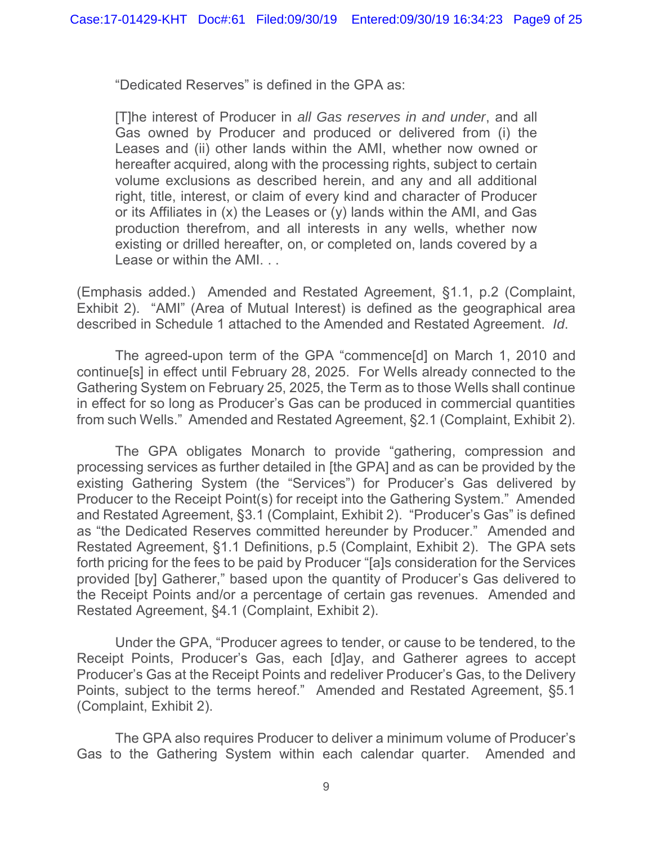"Dedicated Reserves" is defined in the GPA as:

[T]he interest of Producer in *all Gas reserves in and under*, and all Gas owned by Producer and produced or delivered from (i) the Leases and (ii) other lands within the AMI, whether now owned or hereafter acquired, along with the processing rights, subject to certain volume exclusions as described herein, and any and all additional right, title, interest, or claim of every kind and character of Producer or its Affiliates in (x) the Leases or (y) lands within the AMI, and Gas production therefrom, and all interests in any wells, whether now existing or drilled hereafter, on, or completed on, lands covered by a Lease or within the AMI. . .

(Emphasis added.) Amended and Restated Agreement, §1.1, p.2 (Complaint, Exhibit 2). "AMI" (Area of Mutual Interest) is defined as the geographical area described in Schedule 1 attached to the Amended and Restated Agreement. *Id*.

The agreed-upon term of the GPA "commence[d] on March 1, 2010 and continue[s] in effect until February 28, 2025. For Wells already connected to the Gathering System on February 25, 2025, the Term as to those Wells shall continue in effect for so long as Producer's Gas can be produced in commercial quantities from such Wells." Amended and Restated Agreement, §2.1 (Complaint, Exhibit 2).

The GPA obligates Monarch to provide "gathering, compression and processing services as further detailed in [the GPA] and as can be provided by the existing Gathering System (the "Services") for Producer's Gas delivered by Producer to the Receipt Point(s) for receipt into the Gathering System." Amended and Restated Agreement, §3.1 (Complaint, Exhibit 2). "Producer's Gas" is defined as "the Dedicated Reserves committed hereunder by Producer." Amended and Restated Agreement, §1.1 Definitions, p.5 (Complaint, Exhibit 2). The GPA sets forth pricing for the fees to be paid by Producer "[a]s consideration for the Services provided [by] Gatherer," based upon the quantity of Producer's Gas delivered to the Receipt Points and/or a percentage of certain gas revenues. Amended and Restated Agreement, §4.1 (Complaint, Exhibit 2).

Under the GPA, "Producer agrees to tender, or cause to be tendered, to the Receipt Points, Producer's Gas, each [d]ay, and Gatherer agrees to accept Producer's Gas at the Receipt Points and redeliver Producer's Gas, to the Delivery Points, subject to the terms hereof." Amended and Restated Agreement, §5.1 (Complaint, Exhibit 2).

The GPA also requires Producer to deliver a minimum volume of Producer's Gas to the Gathering System within each calendar quarter. Amended and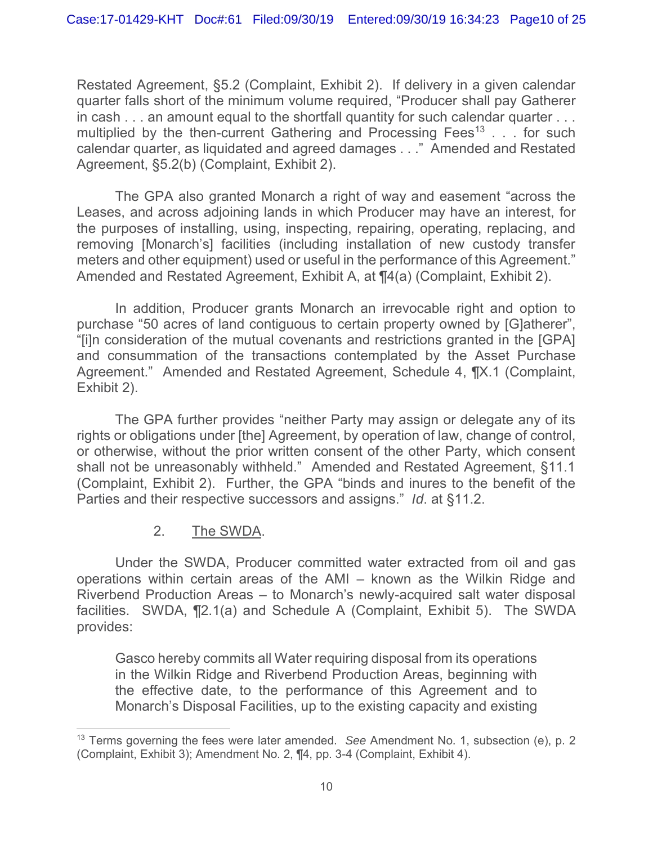Restated Agreement, §5.2 (Complaint, Exhibit 2). If delivery in a given calendar quarter falls short of the minimum volume required, "Producer shall pay Gatherer in cash . . . an amount equal to the shortfall quantity for such calendar quarter . . . multiplied by the then-current Gathering and Processing Fees<sup>13</sup> . . . for such calendar quarter, as liquidated and agreed damages . . ." Amended and Restated Agreement, §5.2(b) (Complaint, Exhibit 2).

The GPA also granted Monarch a right of way and easement "across the Leases, and across adjoining lands in which Producer may have an interest, for the purposes of installing, using, inspecting, repairing, operating, replacing, and removing [Monarch's] facilities (including installation of new custody transfer meters and other equipment) used or useful in the performance of this Agreement." Amended and Restated Agreement, Exhibit A, at ¶4(a) (Complaint, Exhibit 2).

In addition, Producer grants Monarch an irrevocable right and option to purchase "50 acres of land contiguous to certain property owned by [G]atherer", "[i]n consideration of the mutual covenants and restrictions granted in the [GPA] and consummation of the transactions contemplated by the Asset Purchase Agreement." Amended and Restated Agreement, Schedule 4, ¶X.1 (Complaint, Exhibit 2).

The GPA further provides "neither Party may assign or delegate any of its rights or obligations under [the] Agreement, by operation of law, change of control, or otherwise, without the prior written consent of the other Party, which consent shall not be unreasonably withheld." Amended and Restated Agreement, §11.1 (Complaint, Exhibit 2). Further, the GPA "binds and inures to the benefit of the Parties and their respective successors and assigns." *Id*. at §11.2.

## 2. The SWDA.

Under the SWDA, Producer committed water extracted from oil and gas operations within certain areas of the AMI – known as the Wilkin Ridge and Riverbend Production Areas – to Monarch's newly-acquired salt water disposal facilities. SWDA, ¶2.1(a) and Schedule A (Complaint, Exhibit 5). The SWDA provides:

Gasco hereby commits all Water requiring disposal from its operations in the Wilkin Ridge and Riverbend Production Areas, beginning with the effective date, to the performance of this Agreement and to Monarch's Disposal Facilities, up to the existing capacity and existing

<sup>13</sup> Terms governing the fees were later amended. *See* Amendment No. 1, subsection (e), p. 2 (Complaint, Exhibit 3); Amendment No. 2, ¶4, pp. 3-4 (Complaint, Exhibit 4).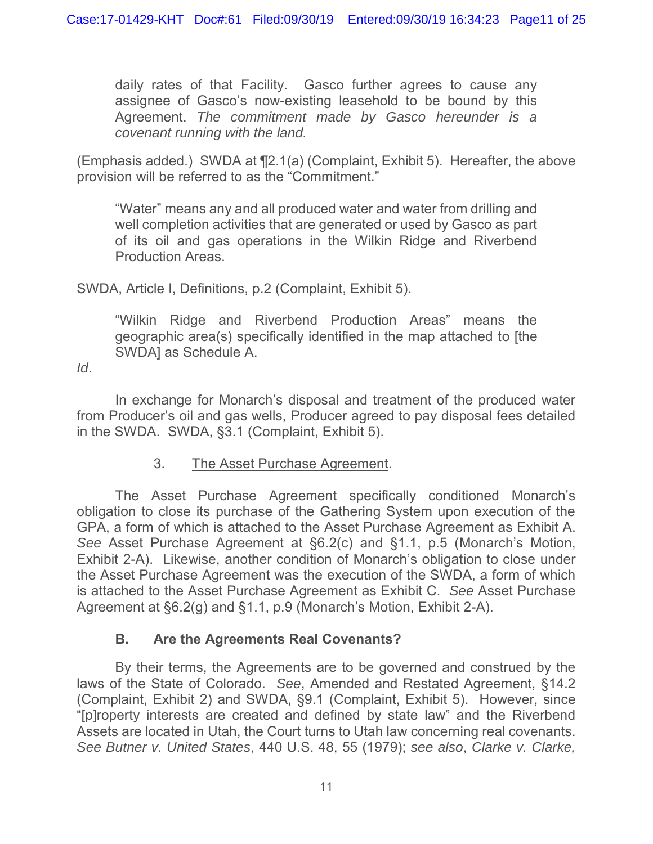daily rates of that Facility. Gasco further agrees to cause any assignee of Gasco's now-existing leasehold to be bound by this Agreement. *The commitment made by Gasco hereunder is a covenant running with the land.*

(Emphasis added.) SWDA at ¶2.1(a) (Complaint, Exhibit 5). Hereafter, the above provision will be referred to as the "Commitment."

"Water" means any and all produced water and water from drilling and well completion activities that are generated or used by Gasco as part of its oil and gas operations in the Wilkin Ridge and Riverbend Production Areas.

SWDA, Article I, Definitions, p.2 (Complaint, Exhibit 5).

"Wilkin Ridge and Riverbend Production Areas" means the geographic area(s) specifically identified in the map attached to [the SWDA] as Schedule A.

*Id*.

In exchange for Monarch's disposal and treatment of the produced water from Producer's oil and gas wells, Producer agreed to pay disposal fees detailed in the SWDA. SWDA, §3.1 (Complaint, Exhibit 5).

### 3. The Asset Purchase Agreement.

The Asset Purchase Agreement specifically conditioned Monarch's obligation to close its purchase of the Gathering System upon execution of the GPA, a form of which is attached to the Asset Purchase Agreement as Exhibit A. *See* Asset Purchase Agreement at §6.2(c) and §1.1, p.5 (Monarch's Motion, Exhibit 2-A). Likewise, another condition of Monarch's obligation to close under the Asset Purchase Agreement was the execution of the SWDA, a form of which is attached to the Asset Purchase Agreement as Exhibit C. *See* Asset Purchase Agreement at §6.2(g) and §1.1, p.9 (Monarch's Motion, Exhibit 2-A).

## **B. Are the Agreements Real Covenants?**

By their terms, the Agreements are to be governed and construed by the laws of the State of Colorado. *See*, Amended and Restated Agreement, §14.2 (Complaint, Exhibit 2) and SWDA, §9.1 (Complaint, Exhibit 5). However, since "[p]roperty interests are created and defined by state law" and the Riverbend Assets are located in Utah, the Court turns to Utah law concerning real covenants. *See Butner v. United States*, 440 U.S. 48, 55 (1979); *see also*, *Clarke v. Clarke,*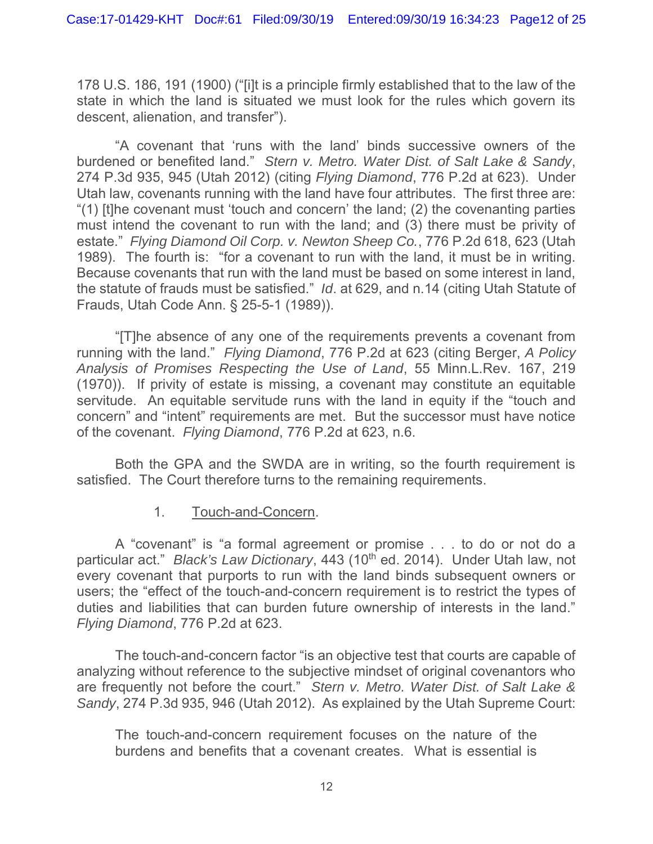178 U.S. 186, 191 (1900) ("[i]t is a principle firmly established that to the law of the state in which the land is situated we must look for the rules which govern its descent, alienation, and transfer").

"A covenant that 'runs with the land' binds successive owners of the burdened or benefited land." *Stern v. Metro. Water Dist. of Salt Lake & Sandy*, 274 P.3d 935, 945 (Utah 2012) (citing *Flying Diamond*, 776 P.2d at 623). Under Utah law, covenants running with the land have four attributes. The first three are: "(1) [t]he covenant must 'touch and concern' the land; (2) the covenanting parties must intend the covenant to run with the land; and (3) there must be privity of estate." *Flying Diamond Oil Corp. v. Newton Sheep Co.*, 776 P.2d 618, 623 (Utah 1989). The fourth is: "for a covenant to run with the land, it must be in writing. Because covenants that run with the land must be based on some interest in land, the statute of frauds must be satisfied." *Id*. at 629, and n.14 (citing Utah Statute of Frauds, Utah Code Ann. § 25-5-1 (1989)).

"[T]he absence of any one of the requirements prevents a covenant from running with the land." *Flying Diamond*, 776 P.2d at 623 (citing Berger, *A Policy Analysis of Promises Respecting the Use of Land*, 55 Minn.L.Rev. 167, 219 (1970)). If privity of estate is missing, a covenant may constitute an equitable servitude. An equitable servitude runs with the land in equity if the "touch and concern" and "intent" requirements are met. But the successor must have notice of the covenant. *Flying Diamond*, 776 P.2d at 623, n.6.

Both the GPA and the SWDA are in writing, so the fourth requirement is satisfied. The Court therefore turns to the remaining requirements.

### 1. Touch-and-Concern.

A "covenant" is "a formal agreement or promise . . . to do or not do a particular act." *Black's Law Dictionary*, 443 (10<sup>th</sup> ed. 2014). Under Utah law, not every covenant that purports to run with the land binds subsequent owners or users; the "effect of the touch-and-concern requirement is to restrict the types of duties and liabilities that can burden future ownership of interests in the land." *Flying Diamond*, 776 P.2d at 623.

The touch-and-concern factor "is an objective test that courts are capable of analyzing without reference to the subjective mindset of original covenantors who are frequently not before the court." *Stern v. Metro. Water Dist. of Salt Lake & Sandy*, 274 P.3d 935, 946 (Utah 2012). As explained by the Utah Supreme Court:

The touch-and-concern requirement focuses on the nature of the burdens and benefits that a covenant creates. What is essential is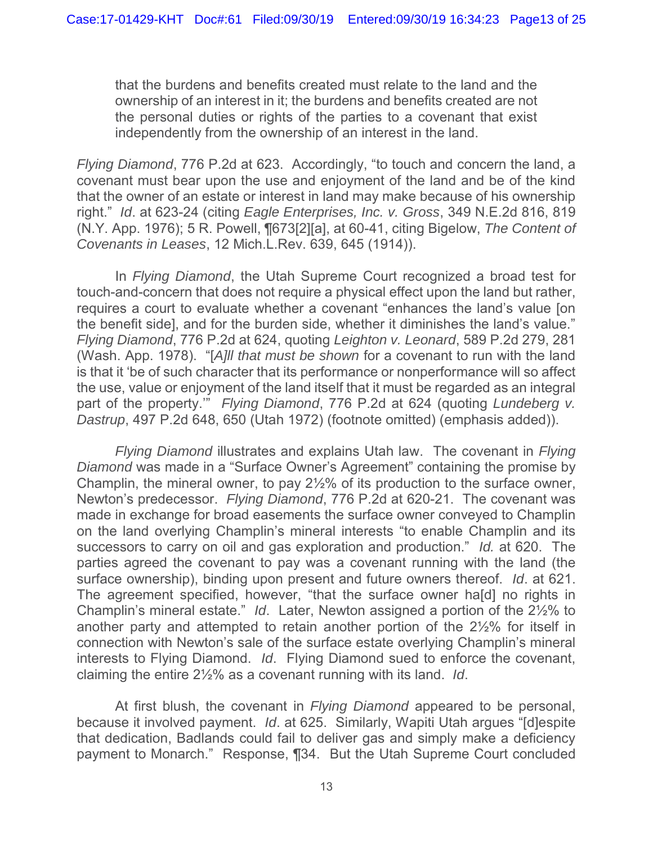that the burdens and benefits created must relate to the land and the ownership of an interest in it; the burdens and benefits created are not the personal duties or rights of the parties to a covenant that exist independently from the ownership of an interest in the land.

*Flying Diamond*, 776 P.2d at 623. Accordingly, "to touch and concern the land, a covenant must bear upon the use and enjoyment of the land and be of the kind that the owner of an estate or interest in land may make because of his ownership right." *Id*. at 623-24 (citing *Eagle Enterprises, Inc. v. Gross*, 349 N.E.2d 816, 819 (N.Y. App. 1976); 5 R. Powell, ¶673[2][a], at 60-41, citing Bigelow, *The Content of Covenants in Leases*, 12 Mich.L.Rev. 639, 645 (1914)).

In *Flying Diamond*, the Utah Supreme Court recognized a broad test for touch-and-concern that does not require a physical effect upon the land but rather, requires a court to evaluate whether a covenant "enhances the land's value [on the benefit side], and for the burden side, whether it diminishes the land's value." *Flying Diamond*, 776 P.2d at 624, quoting *Leighton v. Leonard*, 589 P.2d 279, 281 (Wash. App. 1978). "[*A]ll that must be shown* for a covenant to run with the land is that it 'be of such character that its performance or nonperformance will so affect the use, value or enjoyment of the land itself that it must be regarded as an integral part of the property.'" *Flying Diamond*, 776 P.2d at 624 (quoting *Lundeberg v. Dastrup*, 497 P.2d 648, 650 (Utah 1972) (footnote omitted) (emphasis added)).

*Flying Diamond* illustrates and explains Utah law. The covenant in *Flying Diamond* was made in a "Surface Owner's Agreement" containing the promise by Champlin, the mineral owner, to pay 2½% of its production to the surface owner, Newton's predecessor. *Flying Diamond*, 776 P.2d at 620-21. The covenant was made in exchange for broad easements the surface owner conveyed to Champlin on the land overlying Champlin's mineral interests "to enable Champlin and its successors to carry on oil and gas exploration and production." *Id.* at 620. The parties agreed the covenant to pay was a covenant running with the land (the surface ownership), binding upon present and future owners thereof. *Id*. at 621. The agreement specified, however, "that the surface owner ha[d] no rights in Champlin's mineral estate." *Id*. Later, Newton assigned a portion of the 2½% to another party and attempted to retain another portion of the 2½% for itself in connection with Newton's sale of the surface estate overlying Champlin's mineral interests to Flying Diamond. *Id*. Flying Diamond sued to enforce the covenant, claiming the entire 2½% as a covenant running with its land. *Id*.

At first blush, the covenant in *Flying Diamond* appeared to be personal, because it involved payment. *Id*. at 625. Similarly, Wapiti Utah argues "[d]espite that dedication, Badlands could fail to deliver gas and simply make a deficiency payment to Monarch." Response, ¶34. But the Utah Supreme Court concluded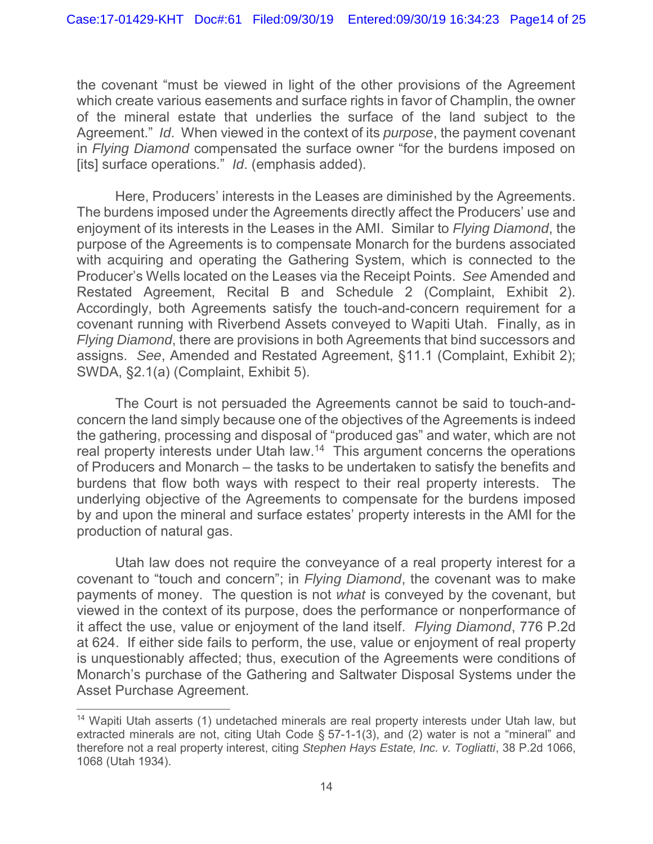the covenant "must be viewed in light of the other provisions of the Agreement which create various easements and surface rights in favor of Champlin, the owner of the mineral estate that underlies the surface of the land subject to the Agreement." *Id*. When viewed in the context of its *purpose*, the payment covenant in *Flying Diamond* compensated the surface owner "for the burdens imposed on [its] surface operations." *Id*. (emphasis added).

Here, Producers' interests in the Leases are diminished by the Agreements. The burdens imposed under the Agreements directly affect the Producers' use and enjoyment of its interests in the Leases in the AMI. Similar to *Flying Diamond*, the purpose of the Agreements is to compensate Monarch for the burdens associated with acquiring and operating the Gathering System, which is connected to the Producer's Wells located on the Leases via the Receipt Points. *See* Amended and Restated Agreement, Recital B and Schedule 2 (Complaint, Exhibit 2). Accordingly, both Agreements satisfy the touch-and-concern requirement for a covenant running with Riverbend Assets conveyed to Wapiti Utah. Finally, as in *Flying Diamond*, there are provisions in both Agreements that bind successors and assigns. *See*, Amended and Restated Agreement, §11.1 (Complaint, Exhibit 2); SWDA, §2.1(a) (Complaint, Exhibit 5).

The Court is not persuaded the Agreements cannot be said to touch-andconcern the land simply because one of the objectives of the Agreements is indeed the gathering, processing and disposal of "produced gas" and water, which are not real property interests under Utah law.<sup>14</sup> This argument concerns the operations of Producers and Monarch – the tasks to be undertaken to satisfy the benefits and burdens that flow both ways with respect to their real property interests. The underlying objective of the Agreements to compensate for the burdens imposed by and upon the mineral and surface estates' property interests in the AMI for the production of natural gas.

Utah law does not require the conveyance of a real property interest for a covenant to "touch and concern"; in *Flying Diamond*, the covenant was to make payments of money. The question is not *what* is conveyed by the covenant, but viewed in the context of its purpose, does the performance or nonperformance of it affect the use, value or enjoyment of the land itself. *Flying Diamond*, 776 P.2d at 624. If either side fails to perform, the use, value or enjoyment of real property is unquestionably affected; thus, execution of the Agreements were conditions of Monarch's purchase of the Gathering and Saltwater Disposal Systems under the Asset Purchase Agreement.

<sup>&</sup>lt;sup>14</sup> Wapiti Utah asserts (1) undetached minerals are real property interests under Utah law, but extracted minerals are not, citing Utah Code § 57-1-1(3), and (2) water is not a "mineral" and therefore not a real property interest, citing *Stephen Hays Estate, Inc. v. Togliatti*, 38 P.2d 1066, 1068 (Utah 1934).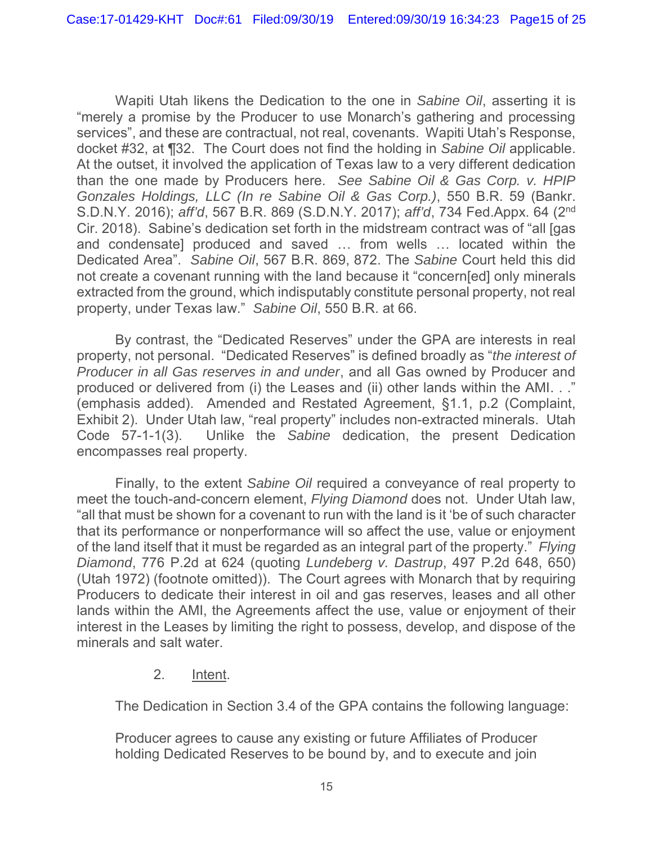Wapiti Utah likens the Dedication to the one in *Sabine Oil*, asserting it is "merely a promise by the Producer to use Monarch's gathering and processing services", and these are contractual, not real, covenants. Wapiti Utah's Response, docket #32, at ¶32. The Court does not find the holding in *Sabine Oil* applicable. At the outset, it involved the application of Texas law to a very different dedication than the one made by Producers here. *See Sabine Oil & Gas Corp. v. HPIP Gonzales Holdings, LLC (In re Sabine Oil & Gas Corp.)*, 550 B.R. 59 (Bankr. S.D.N.Y. 2016); *aff'd*, 567 B.R. 869 (S.D.N.Y. 2017); *aff'd*, 734 Fed.Appx. 64 (2nd Cir. 2018). Sabine's dedication set forth in the midstream contract was of "all [gas and condensate] produced and saved … from wells … located within the Dedicated Area". *Sabine Oil*, 567 B.R. 869, 872. The *Sabine* Court held this did not create a covenant running with the land because it "concern[ed] only minerals extracted from the ground, which indisputably constitute personal property, not real property, under Texas law." *Sabine Oil*, 550 B.R. at 66.

By contrast, the "Dedicated Reserves" under the GPA are interests in real property, not personal. "Dedicated Reserves" is defined broadly as "*the interest of Producer in all Gas reserves in and under*, and all Gas owned by Producer and produced or delivered from (i) the Leases and (ii) other lands within the AMI. . ." (emphasis added). Amended and Restated Agreement, §1.1, p.2 (Complaint, Exhibit 2). Under Utah law, "real property" includes non-extracted minerals. Utah Code 57-1-1(3). Unlike the *Sabine* dedication, the present Dedication encompasses real property.

Finally, to the extent *Sabine Oil* required a conveyance of real property to meet the touch-and-concern element, *Flying Diamond* does not. Under Utah law, "all that must be shown for a covenant to run with the land is it 'be of such character that its performance or nonperformance will so affect the use, value or enjoyment of the land itself that it must be regarded as an integral part of the property." *Flying Diamond*, 776 P.2d at 624 (quoting *Lundeberg v. Dastrup*, 497 P.2d 648, 650) (Utah 1972) (footnote omitted)). The Court agrees with Monarch that by requiring Producers to dedicate their interest in oil and gas reserves, leases and all other lands within the AMI, the Agreements affect the use, value or enjoyment of their interest in the Leases by limiting the right to possess, develop, and dispose of the minerals and salt water.

### 2. Intent.

The Dedication in Section 3.4 of the GPA contains the following language:

Producer agrees to cause any existing or future Affiliates of Producer holding Dedicated Reserves to be bound by, and to execute and join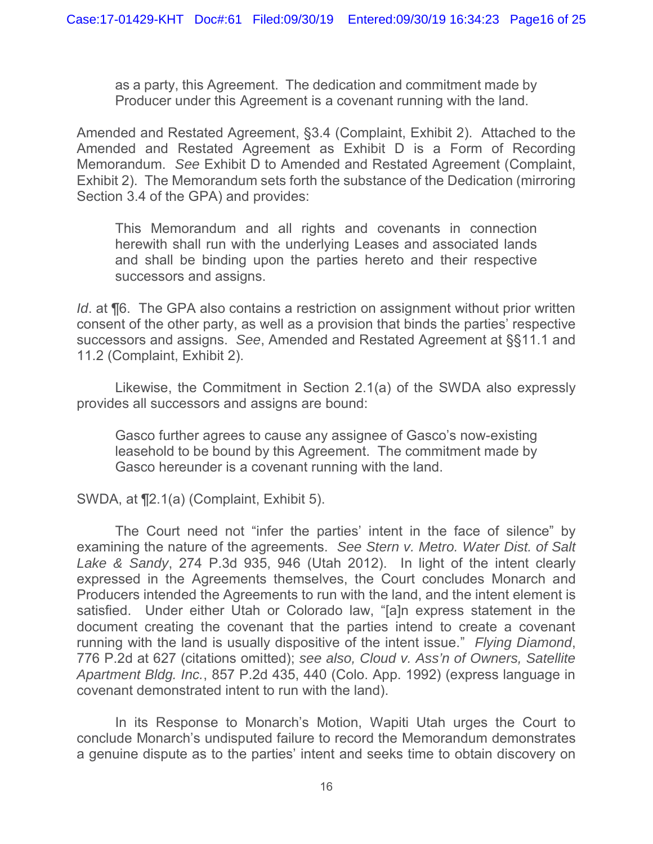as a party, this Agreement. The dedication and commitment made by Producer under this Agreement is a covenant running with the land.

Amended and Restated Agreement, §3.4 (Complaint, Exhibit 2). Attached to the Amended and Restated Agreement as Exhibit D is a Form of Recording Memorandum. *See* Exhibit D to Amended and Restated Agreement (Complaint, Exhibit 2). The Memorandum sets forth the substance of the Dedication (mirroring Section 3.4 of the GPA) and provides:

This Memorandum and all rights and covenants in connection herewith shall run with the underlying Leases and associated lands and shall be binding upon the parties hereto and their respective successors and assigns.

*Id.* at **[6.]** The GPA also contains a restriction on assignment without prior written consent of the other party, as well as a provision that binds the parties' respective successors and assigns. *See*, Amended and Restated Agreement at §§11.1 and 11.2 (Complaint, Exhibit 2).

Likewise, the Commitment in Section 2.1(a) of the SWDA also expressly provides all successors and assigns are bound:

Gasco further agrees to cause any assignee of Gasco's now-existing leasehold to be bound by this Agreement. The commitment made by Gasco hereunder is a covenant running with the land.

SWDA, at ¶2.1(a) (Complaint, Exhibit 5).

The Court need not "infer the parties' intent in the face of silence" by examining the nature of the agreements. *See Stern v. Metro. Water Dist. of Salt Lake & Sandy*, 274 P.3d 935, 946 (Utah 2012). In light of the intent clearly expressed in the Agreements themselves, the Court concludes Monarch and Producers intended the Agreements to run with the land, and the intent element is satisfied. Under either Utah or Colorado law, "[a]n express statement in the document creating the covenant that the parties intend to create a covenant running with the land is usually dispositive of the intent issue." *Flying Diamond*, 776 P.2d at 627 (citations omitted); *see also, Cloud v. Ass'n of Owners, Satellite Apartment Bldg. Inc.*, 857 P.2d 435, 440 (Colo. App. 1992) (express language in covenant demonstrated intent to run with the land).

In its Response to Monarch's Motion, Wapiti Utah urges the Court to conclude Monarch's undisputed failure to record the Memorandum demonstrates a genuine dispute as to the parties' intent and seeks time to obtain discovery on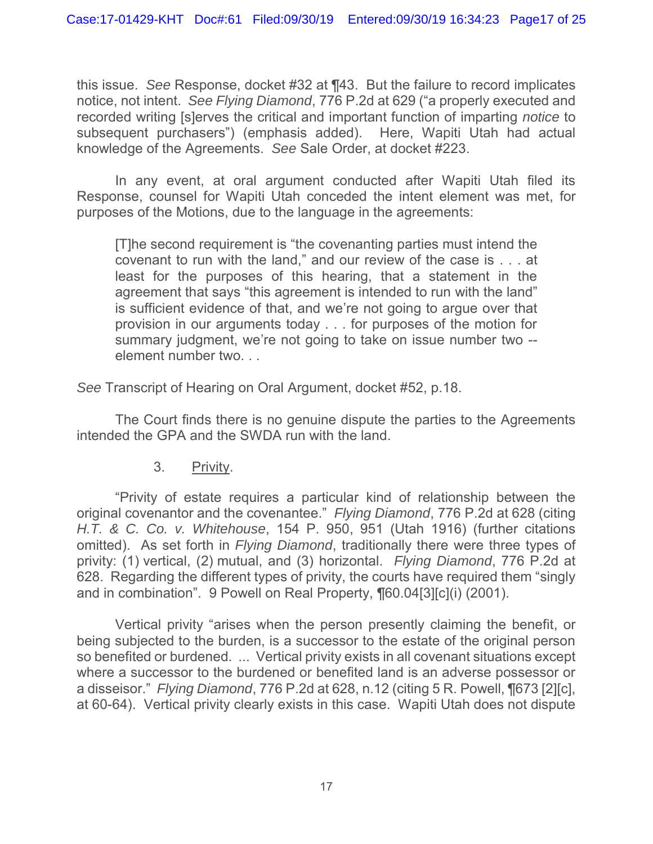this issue. *See* Response, docket #32 at ¶43. But the failure to record implicates notice, not intent. *See Flying Diamond*, 776 P.2d at 629 ("a properly executed and recorded writing [s]erves the critical and important function of imparting *notice* to subsequent purchasers") (emphasis added). Here, Wapiti Utah had actual knowledge of the Agreements. *See* Sale Order, at docket #223.

In any event, at oral argument conducted after Wapiti Utah filed its Response, counsel for Wapiti Utah conceded the intent element was met, for purposes of the Motions, due to the language in the agreements:

[T]he second requirement is "the covenanting parties must intend the covenant to run with the land," and our review of the case is . . . at least for the purposes of this hearing, that a statement in the agreement that says "this agreement is intended to run with the land" is sufficient evidence of that, and we're not going to argue over that provision in our arguments today . . . for purposes of the motion for summary judgment, we're not going to take on issue number two - element number two. . .

*See* Transcript of Hearing on Oral Argument, docket #52, p.18.

The Court finds there is no genuine dispute the parties to the Agreements intended the GPA and the SWDA run with the land.

### 3. Privity.

"Privity of estate requires a particular kind of relationship between the original covenantor and the covenantee." *Flying Diamond*, 776 P.2d at 628 (citing *H.T. & C. Co. v. Whitehouse*, 154 P. 950, 951 (Utah 1916) (further citations omitted). As set forth in *Flying Diamond*, traditionally there were three types of privity: (1) vertical, (2) mutual, and (3) horizontal. *Flying Diamond*, 776 P.2d at 628. Regarding the different types of privity, the courts have required them "singly and in combination". 9 Powell on Real Property, ¶60.04[3][c](i) (2001).

Vertical privity "arises when the person presently claiming the benefit, or being subjected to the burden, is a successor to the estate of the original person so benefited or burdened. ... Vertical privity exists in all covenant situations except where a successor to the burdened or benefited land is an adverse possessor or a disseisor." *Flying Diamond*, 776 P.2d at 628, n.12 (citing 5 R. Powell, ¶673 [2][c], at 60-64). Vertical privity clearly exists in this case. Wapiti Utah does not dispute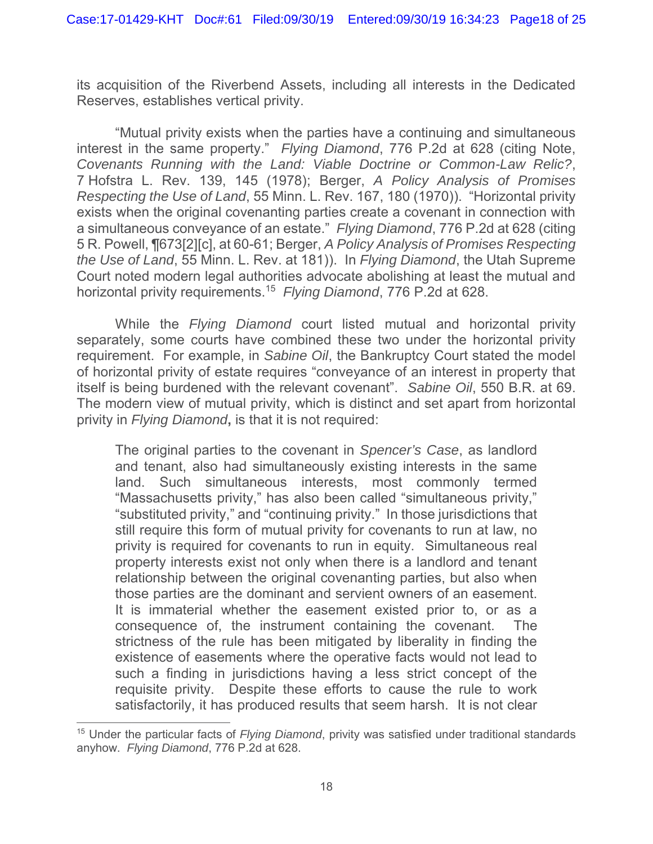its acquisition of the Riverbend Assets, including all interests in the Dedicated Reserves, establishes vertical privity.

"Mutual privity exists when the parties have a continuing and simultaneous interest in the same property." *Flying Diamond*, 776 P.2d at 628 (citing Note, *Covenants Running with the Land: Viable Doctrine or Common-Law Relic?*, 7 Hofstra L. Rev. 139, 145 (1978); Berger, *A Policy Analysis of Promises Respecting the Use of Land*, 55 Minn. L. Rev. 167, 180 (1970)). "Horizontal privity exists when the original covenanting parties create a covenant in connection with a simultaneous conveyance of an estate." *Flying Diamond*, 776 P.2d at 628 (citing 5 R. Powell, ¶673[2][c], at 60-61; Berger, *A Policy Analysis of Promises Respecting the Use of Land*, 55 Minn. L. Rev. at 181)). In *Flying Diamond*, the Utah Supreme Court noted modern legal authorities advocate abolishing at least the mutual and horizontal privity requirements.15 *Flying Diamond*, 776 P.2d at 628.

While the *Flying Diamond* court listed mutual and horizontal privity separately, some courts have combined these two under the horizontal privity requirement. For example, in *Sabine Oil*, the Bankruptcy Court stated the model of horizontal privity of estate requires "conveyance of an interest in property that itself is being burdened with the relevant covenant". *Sabine Oil*, 550 B.R. at 69. The modern view of mutual privity, which is distinct and set apart from horizontal privity in *Flying Diamond***,** is that it is not required:

The original parties to the covenant in *Spencer's Case*, as landlord and tenant, also had simultaneously existing interests in the same land. Such simultaneous interests, most commonly termed "Massachusetts privity," has also been called "simultaneous privity," "substituted privity," and "continuing privity." In those jurisdictions that still require this form of mutual privity for covenants to run at law, no privity is required for covenants to run in equity. Simultaneous real property interests exist not only when there is a landlord and tenant relationship between the original covenanting parties, but also when those parties are the dominant and servient owners of an easement. It is immaterial whether the easement existed prior to, or as a consequence of, the instrument containing the covenant. The strictness of the rule has been mitigated by liberality in finding the existence of easements where the operative facts would not lead to such a finding in jurisdictions having a less strict concept of the requisite privity. Despite these efforts to cause the rule to work satisfactorily, it has produced results that seem harsh. It is not clear

<sup>15</sup> Under the particular facts of *Flying Diamond*, privity was satisfied under traditional standards anyhow. *Flying Diamond*, 776 P.2d at 628.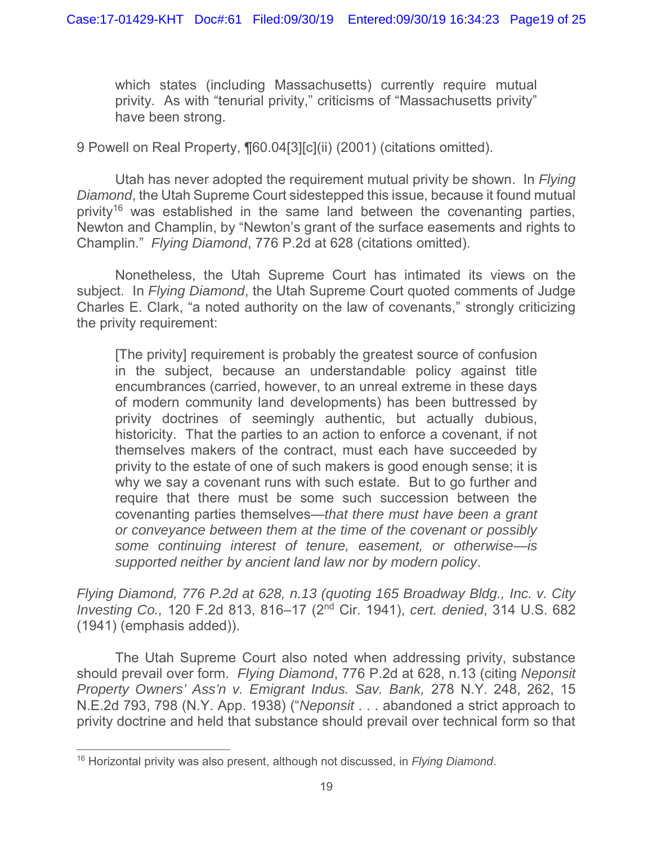which states (including Massachusetts) currently require mutual privity. As with "tenurial privity," criticisms of "Massachusetts privity" have been strong.

9 Powell on Real Property, ¶60.04[3][c](ii) (2001) (citations omitted).

Utah has never adopted the requirement mutual privity be shown. In *Flying Diamond*, the Utah Supreme Court sidestepped this issue, because it found mutual privity<sup>16</sup> was established in the same land between the covenanting parties, Newton and Champlin, by "Newton's grant of the surface easements and rights to Champlin." *Flying Diamond*, 776 P.2d at 628 (citations omitted).

Nonetheless, the Utah Supreme Court has intimated its views on the subject. In *Flying Diamond*, the Utah Supreme Court quoted comments of Judge Charles E. Clark, "a noted authority on the law of covenants," strongly criticizing the privity requirement:

[The privity] requirement is probably the greatest source of confusion in the subject, because an understandable policy against title encumbrances (carried, however, to an unreal extreme in these days of modern community land developments) has been buttressed by privity doctrines of seemingly authentic, but actually dubious, historicity. That the parties to an action to enforce a covenant, if not themselves makers of the contract, must each have succeeded by privity to the estate of one of such makers is good enough sense; it is why we say a covenant runs with such estate. But to go further and require that there must be some such succession between the covenanting parties themselves—*that there must have been a grant or conveyance between them at the time of the covenant or possibly some continuing interest of tenure, easement, or otherwise—is supported neither by ancient land law nor by modern policy*.

*Flying Diamond, 776 P.2d at 628, n.13 (quoting 165 Broadway Bldg., Inc. v. City Investing Co.,* 120 F.2d 813, 816–17 (2nd Cir. 1941), *cert. denied*, 314 U.S. 682 (1941) (emphasis added)).

The Utah Supreme Court also noted when addressing privity, substance should prevail over form. *Flying Diamond*, 776 P.2d at 628, n.13 (citing *Neponsit Property Owners' Ass'n v. Emigrant Indus. Sav. Bank,* 278 N.Y. 248, 262, 15 N.E.2d 793, 798 (N.Y. App. 1938) ("*Neponsit* . . . abandoned a strict approach to privity doctrine and held that substance should prevail over technical form so that

<sup>16</sup> Horizontal privity was also present, although not discussed, in *Flying Diamond*.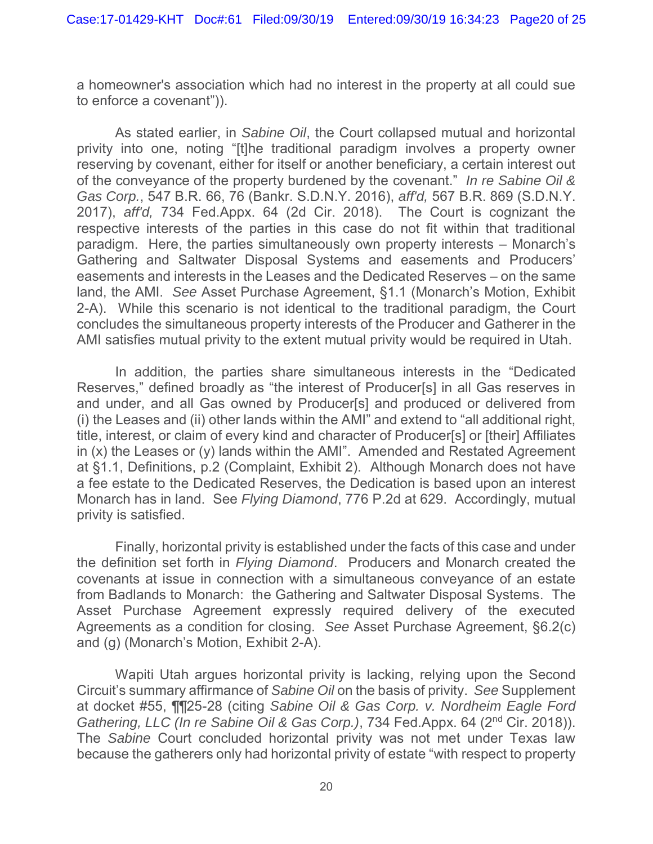a homeowner's association which had no interest in the property at all could sue to enforce a covenant")).

As stated earlier, in *Sabine Oil*, the Court collapsed mutual and horizontal privity into one, noting "[t]he traditional paradigm involves a property owner reserving by covenant, either for itself or another beneficiary, a certain interest out of the conveyance of the property burdened by the covenant." *In re Sabine Oil & Gas Corp.*, 547 B.R. 66, 76 (Bankr. S.D.N.Y. 2016), *aff'd,* 567 B.R. 869 (S.D.N.Y. 2017), *aff'd,* 734 Fed.Appx. 64 (2d Cir. 2018). The Court is cognizant the respective interests of the parties in this case do not fit within that traditional paradigm. Here, the parties simultaneously own property interests – Monarch's Gathering and Saltwater Disposal Systems and easements and Producers' easements and interests in the Leases and the Dedicated Reserves – on the same land, the AMI. *See* Asset Purchase Agreement, §1.1 (Monarch's Motion, Exhibit 2-A). While this scenario is not identical to the traditional paradigm, the Court concludes the simultaneous property interests of the Producer and Gatherer in the AMI satisfies mutual privity to the extent mutual privity would be required in Utah.

In addition, the parties share simultaneous interests in the "Dedicated Reserves," defined broadly as "the interest of Producer[s] in all Gas reserves in and under, and all Gas owned by Producer[s] and produced or delivered from (i) the Leases and (ii) other lands within the AMI" and extend to "all additional right, title, interest, or claim of every kind and character of Producer[s] or [their] Affiliates in (x) the Leases or (y) lands within the AMI". Amended and Restated Agreement at §1.1, Definitions, p.2 (Complaint, Exhibit 2). Although Monarch does not have a fee estate to the Dedicated Reserves, the Dedication is based upon an interest Monarch has in land. See *Flying Diamond*, 776 P.2d at 629. Accordingly, mutual privity is satisfied.

Finally, horizontal privity is established under the facts of this case and under the definition set forth in *Flying Diamond*. Producers and Monarch created the covenants at issue in connection with a simultaneous conveyance of an estate from Badlands to Monarch: the Gathering and Saltwater Disposal Systems. The Asset Purchase Agreement expressly required delivery of the executed Agreements as a condition for closing. *See* Asset Purchase Agreement, §6.2(c) and (g) (Monarch's Motion, Exhibit 2-A).

Wapiti Utah argues horizontal privity is lacking, relying upon the Second Circuit's summary affirmance of *Sabine Oil* on the basis of privity. *See* Supplement at docket #55, ¶¶25-28 (citing *Sabine Oil & Gas Corp. v. Nordheim Eagle Ford Gathering, LLC (In re Sabine Oil & Gas Corp.)*, 734 Fed.Appx. 64 (2nd Cir. 2018)). The *Sabine* Court concluded horizontal privity was not met under Texas law because the gatherers only had horizontal privity of estate "with respect to property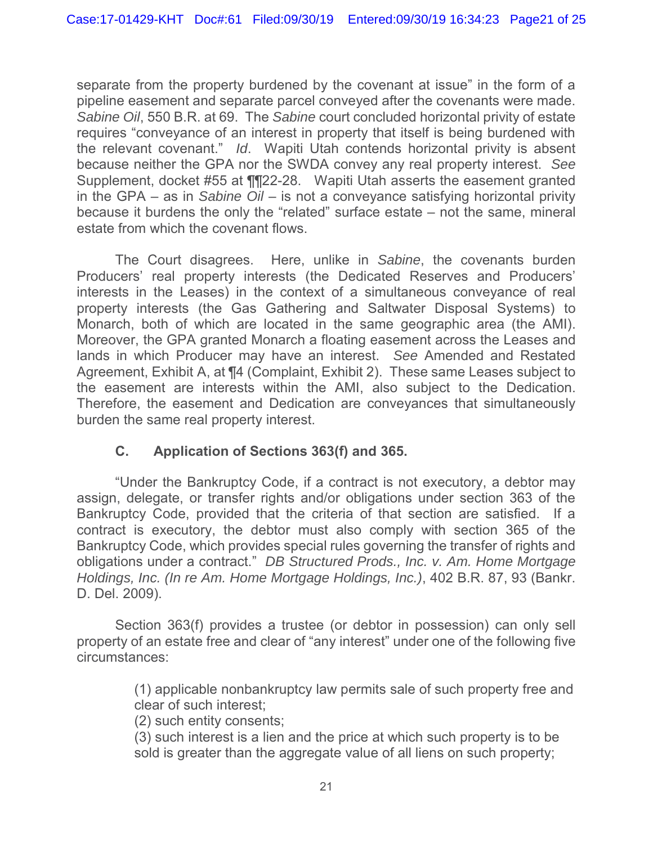separate from the property burdened by the covenant at issue" in the form of a pipeline easement and separate parcel conveyed after the covenants were made. *Sabine Oil*, 550 B.R. at 69. The *Sabine* court concluded horizontal privity of estate requires "conveyance of an interest in property that itself is being burdened with the relevant covenant." *Id*. Wapiti Utah contends horizontal privity is absent because neither the GPA nor the SWDA convey any real property interest. *See*  Supplement, docket #55 at ¶¶22-28. Wapiti Utah asserts the easement granted in the GPA – as in *Sabine Oil* – is not a conveyance satisfying horizontal privity because it burdens the only the "related" surface estate – not the same, mineral estate from which the covenant flows.

The Court disagrees. Here, unlike in *Sabine*, the covenants burden Producers' real property interests (the Dedicated Reserves and Producers' interests in the Leases) in the context of a simultaneous conveyance of real property interests (the Gas Gathering and Saltwater Disposal Systems) to Monarch, both of which are located in the same geographic area (the AMI). Moreover, the GPA granted Monarch a floating easement across the Leases and lands in which Producer may have an interest. *See* Amended and Restated Agreement, Exhibit A, at ¶4 (Complaint, Exhibit 2). These same Leases subject to the easement are interests within the AMI, also subject to the Dedication. Therefore, the easement and Dedication are conveyances that simultaneously burden the same real property interest.

## **C. Application of Sections 363(f) and 365.**

"Under the Bankruptcy Code, if a contract is not executory, a debtor may assign, delegate, or transfer rights and/or obligations under section 363 of the Bankruptcy Code, provided that the criteria of that section are satisfied. If a contract is executory, the debtor must also comply with section 365 of the Bankruptcy Code, which provides special rules governing the transfer of rights and obligations under a contract." *DB Structured Prods., Inc. v. Am. Home Mortgage Holdings, Inc. (In re Am. Home Mortgage Holdings, Inc.)*, 402 B.R. 87, 93 (Bankr. D. Del. 2009).

Section 363(f) provides a trustee (or debtor in possession) can only sell property of an estate free and clear of "any interest" under one of the following five circumstances:

> (1) applicable nonbankruptcy law permits sale of such property free and clear of such interest;

(2) such entity consents;

(3) such interest is a lien and the price at which such property is to be sold is greater than the aggregate value of all liens on such property;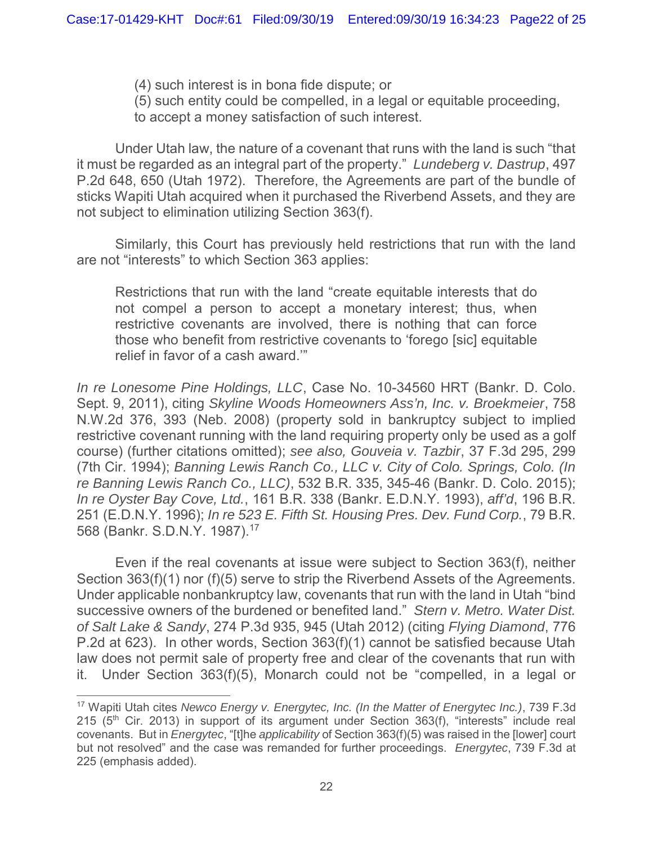- (4) such interest is in bona fide dispute; or
- (5) such entity could be compelled, in a legal or equitable proceeding,
- to accept a money satisfaction of such interest.

Under Utah law, the nature of a covenant that runs with the land is such "that it must be regarded as an integral part of the property." *Lundeberg v. Dastrup*, 497 P.2d 648, 650 (Utah 1972). Therefore, the Agreements are part of the bundle of sticks Wapiti Utah acquired when it purchased the Riverbend Assets, and they are not subject to elimination utilizing Section 363(f).

Similarly, this Court has previously held restrictions that run with the land are not "interests" to which Section 363 applies:

Restrictions that run with the land "create equitable interests that do not compel a person to accept a monetary interest; thus, when restrictive covenants are involved, there is nothing that can force those who benefit from restrictive covenants to 'forego [sic] equitable relief in favor of a cash award.'"

*In re Lonesome Pine Holdings, LLC*, Case No. 10-34560 HRT (Bankr. D. Colo. Sept. 9, 2011), citing *Skyline Woods Homeowners Ass'n, Inc. v. Broekmeier*, 758 N.W.2d 376, 393 (Neb. 2008) (property sold in bankruptcy subject to implied restrictive covenant running with the land requiring property only be used as a golf course) (further citations omitted); *see also, Gouveia v. Tazbir*, 37 F.3d 295, 299 (7th Cir. 1994); *Banning Lewis Ranch Co., LLC v. City of Colo. Springs, Colo. (In re Banning Lewis Ranch Co., LLC)*, 532 B.R. 335, 345-46 (Bankr. D. Colo. 2015); *In re Oyster Bay Cove, Ltd.*, 161 B.R. 338 (Bankr. E.D.N.Y. 1993), *aff'd*, 196 B.R. 251 (E.D.N.Y. 1996); *In re 523 E. Fifth St. Housing Pres. Dev. Fund Corp.*, 79 B.R. 568 (Bankr. S.D.N.Y. 1987).17

Even if the real covenants at issue were subject to Section 363(f), neither Section 363(f)(1) nor (f)(5) serve to strip the Riverbend Assets of the Agreements. Under applicable nonbankruptcy law, covenants that run with the land in Utah "bind successive owners of the burdened or benefited land." *Stern v. Metro. Water Dist. of Salt Lake & Sandy*, 274 P.3d 935, 945 (Utah 2012) (citing *Flying Diamond*, 776 P.2d at 623). In other words, Section 363(f)(1) cannot be satisfied because Utah law does not permit sale of property free and clear of the covenants that run with it. Under Section 363(f)(5), Monarch could not be "compelled, in a legal or

<sup>17</sup> Wapiti Utah cites *Newco Energy v. Energytec, Inc. (In the Matter of Energytec Inc.)*, 739 F.3d 215 (5<sup>th</sup> Cir. 2013) in support of its argument under Section 363(f), "interests" include real covenants. But in *Energytec*, "[t]he *applicability* of Section 363(f)(5) was raised in the [lower] court but not resolved" and the case was remanded for further proceedings. *Energytec*, 739 F.3d at 225 (emphasis added).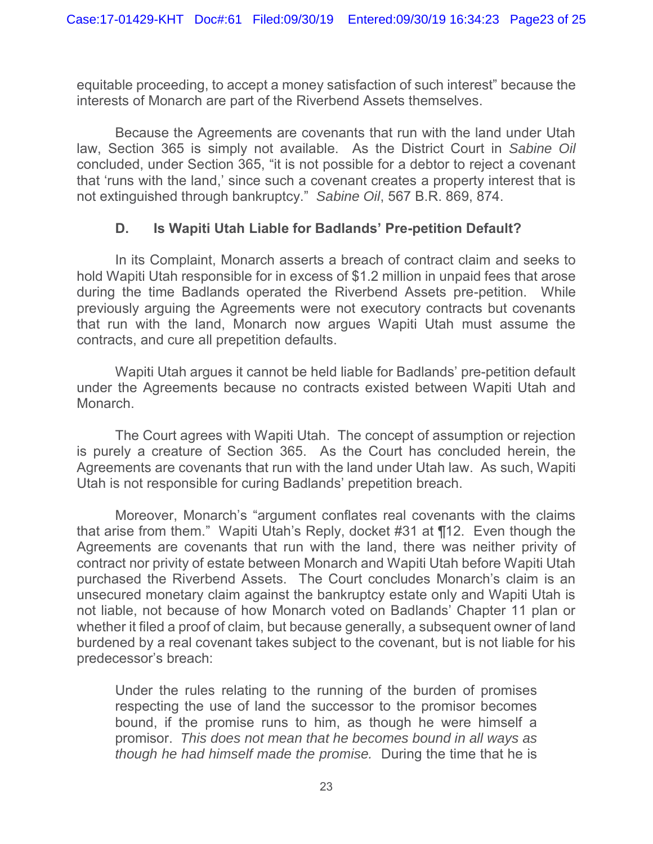equitable proceeding, to accept a money satisfaction of such interest" because the interests of Monarch are part of the Riverbend Assets themselves.

Because the Agreements are covenants that run with the land under Utah law, Section 365 is simply not available. As the District Court in *Sabine Oil* concluded, under Section 365, "it is not possible for a debtor to reject a covenant that 'runs with the land,' since such a covenant creates a property interest that is not extinguished through bankruptcy." *Sabine Oil*, 567 B.R. 869, 874.

### **D. Is Wapiti Utah Liable for Badlands' Pre-petition Default?**

In its Complaint, Monarch asserts a breach of contract claim and seeks to hold Wapiti Utah responsible for in excess of \$1.2 million in unpaid fees that arose during the time Badlands operated the Riverbend Assets pre-petition. While previously arguing the Agreements were not executory contracts but covenants that run with the land, Monarch now argues Wapiti Utah must assume the contracts, and cure all prepetition defaults.

Wapiti Utah argues it cannot be held liable for Badlands' pre-petition default under the Agreements because no contracts existed between Wapiti Utah and Monarch.

The Court agrees with Wapiti Utah. The concept of assumption or rejection is purely a creature of Section 365. As the Court has concluded herein, the Agreements are covenants that run with the land under Utah law. As such, Wapiti Utah is not responsible for curing Badlands' prepetition breach.

Moreover, Monarch's "argument conflates real covenants with the claims that arise from them." Wapiti Utah's Reply, docket #31 at ¶12. Even though the Agreements are covenants that run with the land, there was neither privity of contract nor privity of estate between Monarch and Wapiti Utah before Wapiti Utah purchased the Riverbend Assets. The Court concludes Monarch's claim is an unsecured monetary claim against the bankruptcy estate only and Wapiti Utah is not liable, not because of how Monarch voted on Badlands' Chapter 11 plan or whether it filed a proof of claim, but because generally, a subsequent owner of land burdened by a real covenant takes subject to the covenant, but is not liable for his predecessor's breach:

Under the rules relating to the running of the burden of promises respecting the use of land the successor to the promisor becomes bound, if the promise runs to him, as though he were himself a promisor. *This does not mean that he becomes bound in all ways as though he had himself made the promise.* During the time that he is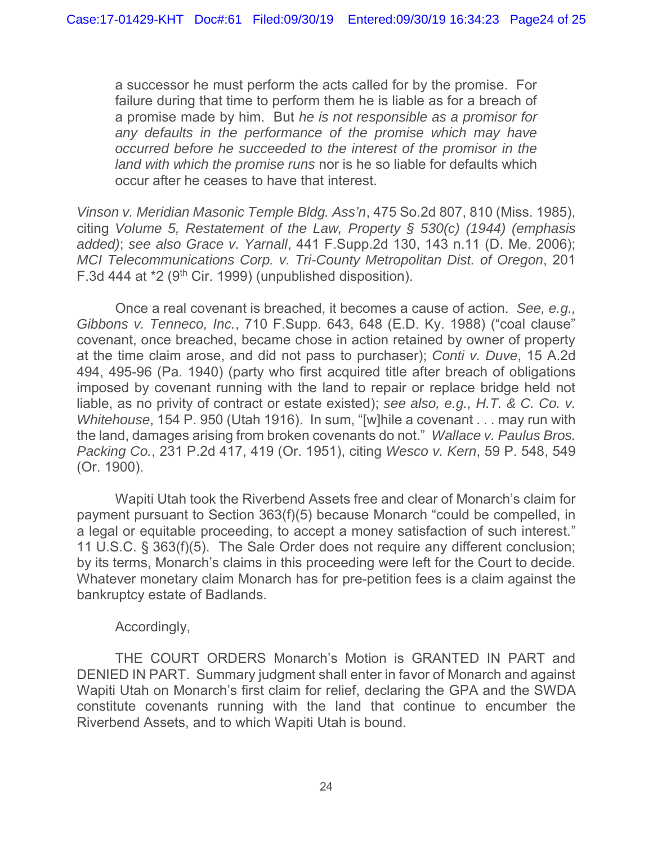a successor he must perform the acts called for by the promise. For failure during that time to perform them he is liable as for a breach of a promise made by him. But *he is not responsible as a promisor for any defaults in the performance of the promise which may have occurred before he succeeded to the interest of the promisor in the land with which the promise runs* nor is he so liable for defaults which occur after he ceases to have that interest.

*Vinson v. Meridian Masonic Temple Bldg. Ass'n*, 475 So.2d 807, 810 (Miss. 1985), citing *Volume 5, Restatement of the Law, Property § 530(c) (1944) (emphasis added)*; *see also Grace v. Yarnall*, 441 F.Supp.2d 130, 143 n.11 (D. Me. 2006); *MCI Telecommunications Corp. v. Tri-County Metropolitan Dist. of Oregon*, 201 F.3d 444 at \*2 (9th Cir. 1999) (unpublished disposition).

Once a real covenant is breached, it becomes a cause of action. *See, e.g., Gibbons v. Tenneco, Inc.*, 710 F.Supp. 643, 648 (E.D. Ky. 1988) ("coal clause" covenant, once breached, became chose in action retained by owner of property at the time claim arose, and did not pass to purchaser); *Conti v. Duve*, 15 A.2d 494, 495-96 (Pa. 1940) (party who first acquired title after breach of obligations imposed by covenant running with the land to repair or replace bridge held not liable, as no privity of contract or estate existed); *see also, e.g., H.T. & C. Co. v. Whitehouse*, 154 P. 950 (Utah 1916). In sum, "[w]hile a covenant . . . may run with the land, damages arising from broken covenants do not." *Wallace v. Paulus Bros. Packing Co.*, 231 P.2d 417, 419 (Or. 1951), citing *Wesco v. Kern*, 59 P. 548, 549 (Or. 1900).

Wapiti Utah took the Riverbend Assets free and clear of Monarch's claim for payment pursuant to Section 363(f)(5) because Monarch "could be compelled, in a legal or equitable proceeding, to accept a money satisfaction of such interest." 11 U.S.C. § 363(f)(5). The Sale Order does not require any different conclusion; by its terms, Monarch's claims in this proceeding were left for the Court to decide. Whatever monetary claim Monarch has for pre-petition fees is a claim against the bankruptcy estate of Badlands.

### Accordingly,

THE COURT ORDERS Monarch's Motion is GRANTED IN PART and DENIED IN PART. Summary judgment shall enter in favor of Monarch and against Wapiti Utah on Monarch's first claim for relief, declaring the GPA and the SWDA constitute covenants running with the land that continue to encumber the Riverbend Assets, and to which Wapiti Utah is bound.